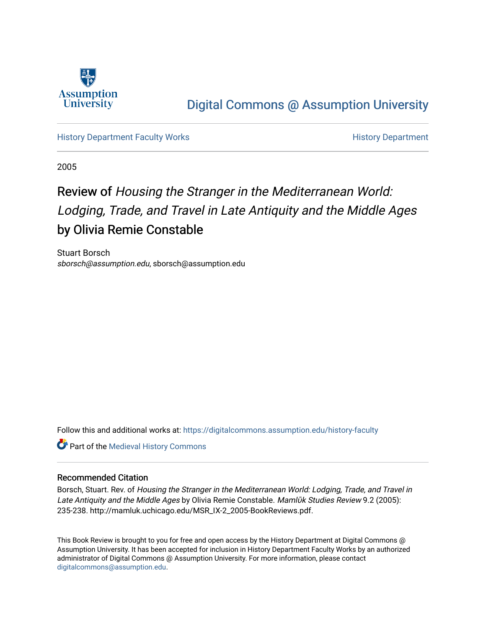

## [Digital Commons @ Assumption University](https://digitalcommons.assumption.edu/)

[History Department Faculty Works](https://digitalcommons.assumption.edu/history-faculty) **History Department** 

2005

# Review of Housing the Stranger in the Mediterranean World: Lodging, Trade, and Travel in Late Antiquity and the Middle Ages by Olivia Remie Constable

Stuart Borsch sborsch@assumption.edu, sborsch@assumption.edu

Follow this and additional works at: [https://digitalcommons.assumption.edu/history-faculty](https://digitalcommons.assumption.edu/history-faculty?utm_source=digitalcommons.assumption.edu%2Fhistory-faculty%2F3&utm_medium=PDF&utm_campaign=PDFCoverPages) 

**Part of the [Medieval History Commons](http://network.bepress.com/hgg/discipline/503?utm_source=digitalcommons.assumption.edu%2Fhistory-faculty%2F3&utm_medium=PDF&utm_campaign=PDFCoverPages)** 

### Recommended Citation

Borsch, Stuart. Rev. of Housing the Stranger in the Mediterranean World: Lodging, Trade, and Travel in Late Antiquity and the Middle Ages by Olivia Remie Constable. Mamlūk Studies Review 9.2 (2005): 235-238. http://mamluk.uchicago.edu/MSR\_IX-2\_2005-BookReviews.pdf.

This Book Review is brought to you for free and open access by the History Department at Digital Commons @ Assumption University. It has been accepted for inclusion in History Department Faculty Works by an authorized administrator of Digital Commons @ Assumption University. For more information, please contact [digitalcommons@assumption.edu](mailto:digitalcommons@assumption.edu).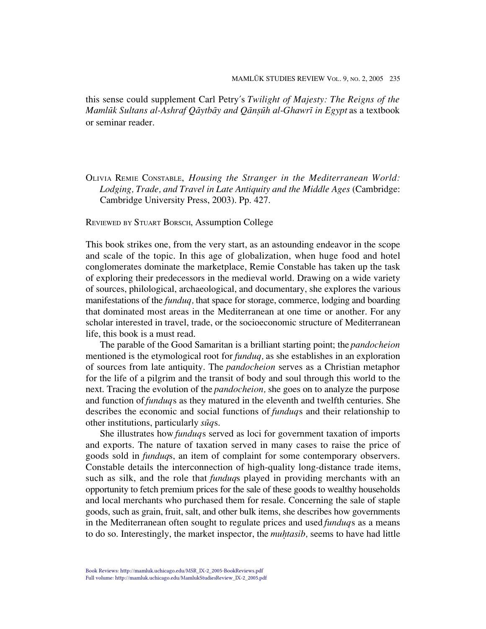this sense could supplement Carl Petry's *Twilight of Majesty: The Reigns of the Mamluk Sultans al-Ashraf Qãytbãy and Qānsūh al-Ghawrī in Egypt* as a textbook or seminar reader.

OLIVIA REMIE CONSTABLE, *Housing the Stranger in the Mediterranean World: Lodging, Trade, and Travel in Late Antiquity and the Middle Ages* (Cambridge: Cambridge University Press, 2003). Pp. 427.

REVIEWED BY STUART BORSCH, Assumption College

This book strikes one, from the very start, as an astounding endeavor in the scope and scale of the topic. In this age of globalization, when huge food and hotel conglomerates dominate the marketplace, Remie Constable has taken up the task of exploring their predecessors in the medieval world. Drawing on a wide variety of sources, philological, archaeological, and documentary, she explores the various manifestations of the *funduq,* that space for storage, commerce, lodging and boarding that dominated most areas in the Mediterranean at one time or another. For any scholar interested in travel, trade, or the socioeconomic structure of Mediterranean life, this book is a must read.

The parable of the Good Samaritan is a brilliant starting point; the *pandocheion* mentioned is the etymological root for *funduq,* as she establishes in an exploration of sources from late antiquity. The *pandocheion* serves as a Christian metaphor for the life of a pilgrim and the transit of body and soul through this world to the next. Tracing the evolution of the *pandocheion,* she goes on to analyze the purpose and function of *funduq*s as they matured in the eleventh and twelfth centuries. She describes the economic and social functions of *funduq*s and their relationship to other institutions, particularly *suqs*.

She illustrates how *funduq*s served as loci for government taxation of imports and exports. The nature of taxation served in many cases to raise the price of goods sold in *funduq*s, an item of complaint for some contemporary observers. Constable details the interconnection of high-quality long-distance trade items, such as silk, and the role that *funduq*s played in providing merchants with an opportunity to fetch premium prices for the sale of these goods to wealthy households and local merchants who purchased them for resale. Concerning the sale of staple goods, such as grain, fruit, salt, and other bulk items, she describes how governments in the Mediterranean often sought to regulate prices and used *funduq*s as a means to do so. Interestingly, the market inspector, the *muhtasib*, seems to have had little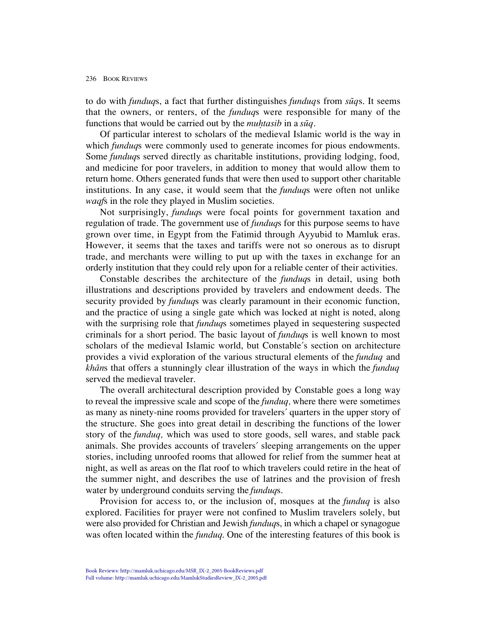#### 236 BOOK REVIEWS

to do with *funduq*s, a fact that further distinguishes *funduq*s from *suqs*. It seems that the owners, or renters, of the *funduq*s were responsible for many of the functions that would be carried out by the *muhtasib* in a *suq*.

Of particular interest to scholars of the medieval Islamic world is the way in which *funduq*s were commonly used to generate incomes for pious endowments. Some *funduq*s served directly as charitable institutions, providing lodging, food, and medicine for poor travelers, in addition to money that would allow them to return home. Others generated funds that were then used to support other charitable institutions. In any case, it would seem that the *funduq*s were often not unlike *waqf*s in the role they played in Muslim societies.

Not surprisingly, *funduq*s were focal points for government taxation and regulation of trade. The government use of *funduq*s for this purpose seems to have grown over time, in Egypt from the Fatimid through Ayyubid to Mamluk eras. However, it seems that the taxes and tariffs were not so onerous as to disrupt trade, and merchants were willing to put up with the taxes in exchange for an orderly institution that they could rely upon for a reliable center of their activities.

Constable describes the architecture of the *funduq*s in detail, using both illustrations and descriptions provided by travelers and endowment deeds. The security provided by *funduq*s was clearly paramount in their economic function, and the practice of using a single gate which was locked at night is noted, along with the surprising role that *funduq*s sometimes played in sequestering suspected criminals for a short period. The basic layout of *funduq*s is well known to most scholars of the medieval Islamic world, but Constable's section on architecture provides a vivid exploration of the various structural elements of the *funduq* and *kha≠n*s that offers a stunningly clear illustration of the ways in which the *funduq* served the medieval traveler.

The overall architectural description provided by Constable goes a long way to reveal the impressive scale and scope of the *funduq,* where there were sometimes as many as ninety-nine rooms provided for travelers' quarters in the upper story of the structure. She goes into great detail in describing the functions of the lower story of the *funduq,* which was used to store goods, sell wares, and stable pack animals. She provides accounts of travelers' sleeping arrangements on the upper stories, including unroofed rooms that allowed for relief from the summer heat at night, as well as areas on the flat roof to which travelers could retire in the heat of the summer night, and describes the use of latrines and the provision of fresh water by underground conduits serving the *funduq*s.

Provision for access to, or the inclusion of, mosques at the *funduq* is also explored. Facilities for prayer were not confined to Muslim travelers solely, but were also provided for Christian and Jewish *funduq*s, in which a chapel or synagogue was often located within the *funduq*. One of the interesting features of this book is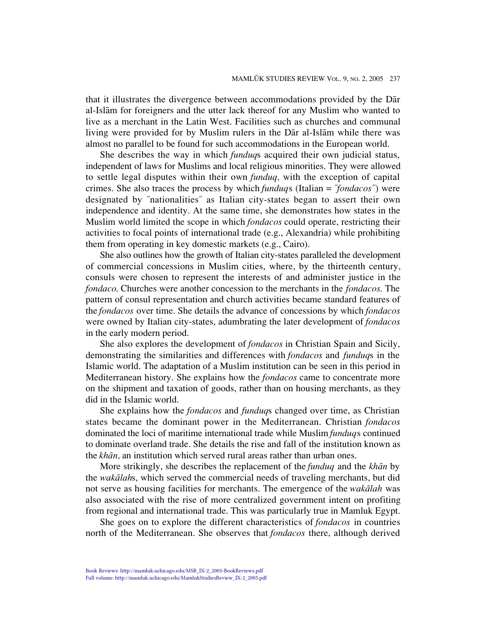that it illustrates the divergence between accommodations provided by the Dar al-Isla≠m for foreigners and the utter lack thereof for any Muslim who wanted to live as a merchant in the Latin West. Facilities such as churches and communal living were provided for by Muslim rulers in the Dar al-Islam while there was almost no parallel to be found for such accommodations in the European world.

She describes the way in which *funduq*s acquired their own judicial status, independent of laws for Muslims and local religious minorities. They were allowed to settle legal disputes within their own *funduq,* with the exception of capital crimes. She also traces the process by which *funduq*s (Italian = "*fondacos*") were designated by "nationalities" as Italian city-states began to assert their own independence and identity. At the same time, she demonstrates how states in the Muslim world limited the scope in which *fondacos* could operate, restricting their activities to focal points of international trade (e.g., Alexandria) while prohibiting them from operating in key domestic markets (e.g., Cairo).

She also outlines how the growth of Italian city-states paralleled the development of commercial concessions in Muslim cities, where, by the thirteenth century, consuls were chosen to represent the interests of and administer justice in the *fondaco*. Churches were another concession to the merchants in the *fondacos*. The pattern of consul representation and church activities became standard features of the *fondacos* over time. She details the advance of concessions by which *fondacos* were owned by Italian city-states, adumbrating the later development of *fondacos* in the early modern period.

She also explores the development of *fondacos* in Christian Spain and Sicily, demonstrating the similarities and differences with *fondacos* and *funduq*s in the Islamic world. The adaptation of a Muslim institution can be seen in this period in Mediterranean history. She explains how the *fondacos* came to concentrate more on the shipment and taxation of goods, rather than on housing merchants, as they did in the Islamic world.

She explains how the *fondacos* and *funduq*s changed over time, as Christian states became the dominant power in the Mediterranean. Christian *fondacos* dominated the loci of maritime international trade while Muslim *funduq*s continued to dominate overland trade. She details the rise and fall of the institution known as the *khān*, an institution which served rural areas rather than urban ones.

More strikingly, she describes the replacement of the *funduq* and the *kha≠n* by the *waka≠lah*s, which served the commercial needs of traveling merchants, but did not serve as housing facilities for merchants. The emergence of the *wakalah* was also associated with the rise of more centralized government intent on profiting from regional and international trade. This was particularly true in Mamluk Egypt.

She goes on to explore the different characteristics of *fondacos* in countries north of the Mediterranean. She observes that *fondacos* there, although derived